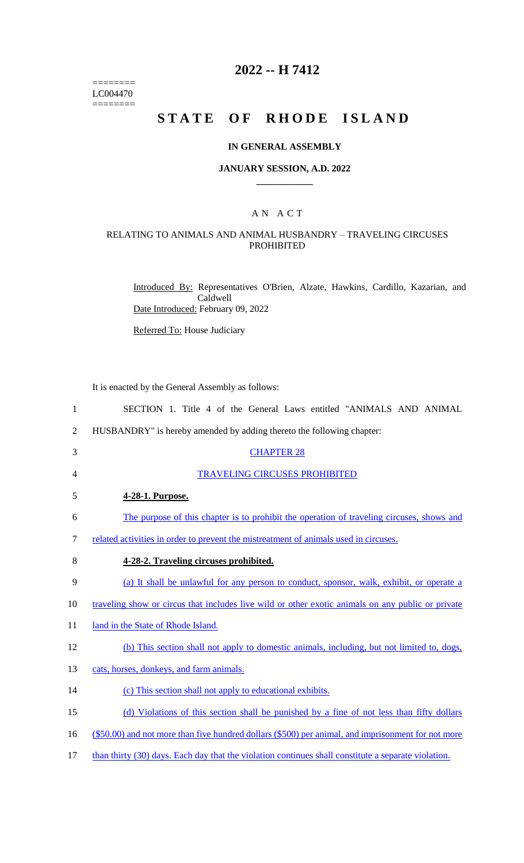======== LC004470  $=$ 

# **2022 -- H 7412**

# **STATE OF RHODE ISLAND**

## **IN GENERAL ASSEMBLY**

#### **JANUARY SESSION, A.D. 2022 \_\_\_\_\_\_\_\_\_\_\_\_**

## A N A C T

## RELATING TO ANIMALS AND ANIMAL HUSBANDRY – TRAVELING CIRCUSES PROHIBITED

Introduced By: Representatives O'Brien, Alzate, Hawkins, Cardillo, Kazarian, and Caldwell Date Introduced: February 09, 2022

Referred To: House Judiciary

It is enacted by the General Assembly as follows:

| $\mathbf{1}$   | SECTION 1. Title 4 of the General Laws entitled "ANIMALS AND ANIMAL                                 |
|----------------|-----------------------------------------------------------------------------------------------------|
| $\overline{2}$ | HUSBANDRY" is hereby amended by adding thereto the following chapter:                               |
| 3              | <b>CHAPTER 28</b>                                                                                   |
| $\overline{4}$ | <b>TRAVELING CIRCUSES PROHIBITED</b>                                                                |
| 5              | 4-28-1. Purpose.                                                                                    |
| 6              | The purpose of this chapter is to prohibit the operation of traveling circuses, shows and           |
| 7              | related activities in order to prevent the mistreatment of animals used in circuses.                |
| 8              | 4-28-2. Traveling circuses prohibited.                                                              |
| 9              | (a) It shall be unlawful for any person to conduct, sponsor, walk, exhibit, or operate a            |
| 10             | traveling show or circus that includes live wild or other exotic animals on any public or private   |
| 11             | land in the State of Rhode Island.                                                                  |
| 12             | (b) This section shall not apply to domestic animals, including, but not limited to, dogs,          |
| 13             | cats, horses, donkeys, and farm animals.                                                            |
| 14             | (c) This section shall not apply to educational exhibits.                                           |
| 15             | (d) Violations of this section shall be punished by a fine of not less than fifty dollars           |
| 16             | (\$50.00) and not more than five hundred dollars (\$500) per animal, and imprisonment for not more  |
| 17             | than thirty (30) days. Each day that the violation continues shall constitute a separate violation. |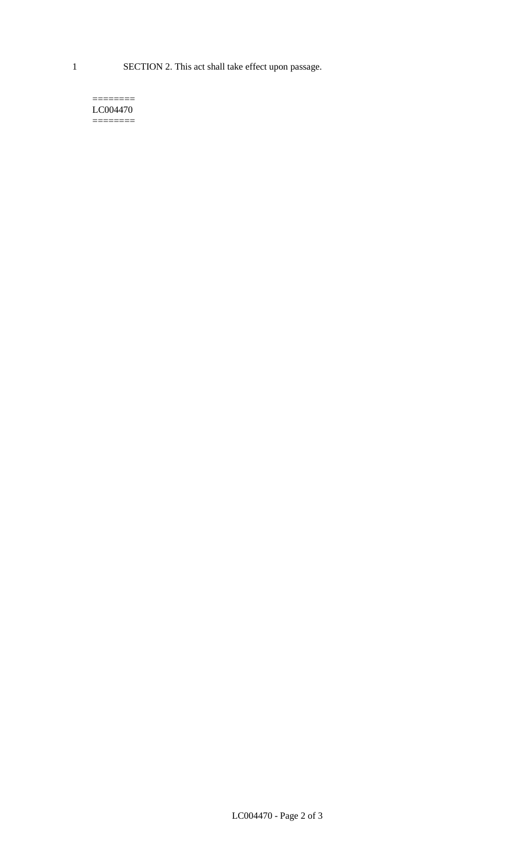1 SECTION 2. This act shall take effect upon passage.

#### $=$ LC004470 ========

LC004470 - Page 2 of 3